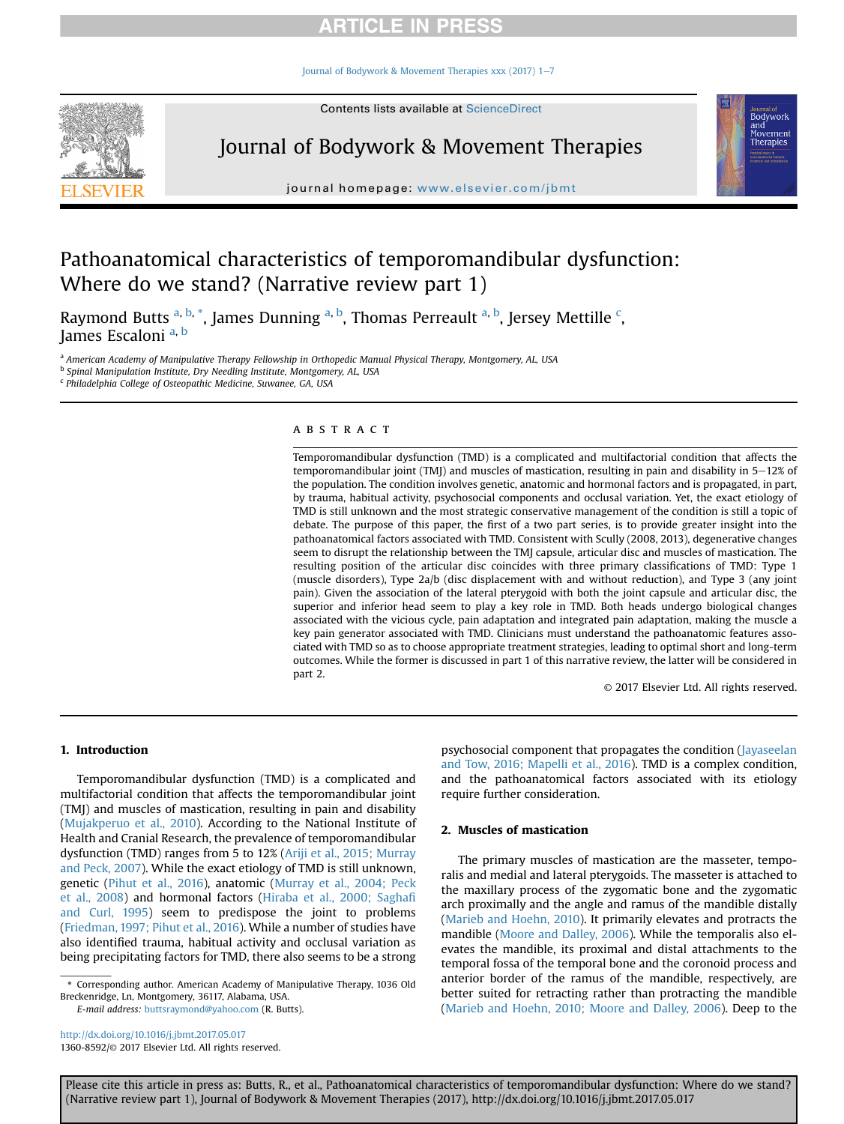Journal of Bodywork & Movement Therapies xxx (201[7](http://dx.doi.org/10.1016/j.jbmt.2017.05.017))  $1-7$ 



# Journal of Bodywork & Movement Therapies



journal homepage: <www.elsevier.com/jbmt>

# Pathoanatomical characteristics of temporomandibular dysfunction: Where do we stand? (Narrative review part 1)

Raymond Butts <sup>a, b, \*</sup>, James Dunning <sup>a, b</sup>, Thomas Perreault <sup>a, b</sup>, Jersey Mettille <sup>c</sup>, James Escaloni<sup>a, b</sup>

a American Academy of Manipulative Therapy Fellowship in Orthopedic Manual Physical Therapy, Montgomery, AL, USA

b Spinal Manipulation Institute, Dry Needling Institute, Montgomery, AL, USA

<sup>c</sup> Philadelphia College of Osteopathic Medicine, Suwanee, GA, USA

### ABSTRACT

Temporomandibular dysfunction (TMD) is a complicated and multifactorial condition that affects the temporomandibular joint (TMJ) and muscles of mastication, resulting in pain and disability in  $5-12%$  of the population. The condition involves genetic, anatomic and hormonal factors and is propagated, in part, by trauma, habitual activity, psychosocial components and occlusal variation. Yet, the exact etiology of TMD is still unknown and the most strategic conservative management of the condition is still a topic of debate. The purpose of this paper, the first of a two part series, is to provide greater insight into the pathoanatomical factors associated with TMD. Consistent with Scully (2008, 2013), degenerative changes seem to disrupt the relationship between the TMJ capsule, articular disc and muscles of mastication. The resulting position of the articular disc coincides with three primary classifications of TMD: Type 1 (muscle disorders), Type 2a/b (disc displacement with and without reduction), and Type 3 (any joint pain). Given the association of the lateral pterygoid with both the joint capsule and articular disc, the superior and inferior head seem to play a key role in TMD. Both heads undergo biological changes associated with the vicious cycle, pain adaptation and integrated pain adaptation, making the muscle a key pain generator associated with TMD. Clinicians must understand the pathoanatomic features associated with TMD so as to choose appropriate treatment strategies, leading to optimal short and long-term outcomes. While the former is discussed in part 1 of this narrative review, the latter will be considered in part 2.

© 2017 Elsevier Ltd. All rights reserved.

#### 1. Introduction

Temporomandibular dysfunction (TMD) is a complicated and multifactorial condition that affects the temporomandibular joint (TMJ) and muscles of mastication, resulting in pain and disability ([Mujakperuo et al., 2010](#page-5-0)). According to the National Institute of Health and Cranial Research, the prevalence of temporomandibular dysfunction (TMD) ranges from 5 to 12% [\(Ariji et al., 2015; Murray](#page-4-0) [and Peck, 2007\)](#page-4-0). While the exact etiology of TMD is still unknown, genetic ([Pihut et al., 2016\)](#page-5-0), anatomic ([Murray et al., 2004; Peck](#page-5-0) [et al., 2008](#page-5-0)) and hormonal factors [\(Hiraba et al., 2000; Sagha](#page-4-0)fi [and Curl, 1995\)](#page-4-0) seem to predispose the joint to problems ([Friedman, 1997; Pihut et al., 2016\)](#page-4-0). While a number of studies have also identified trauma, habitual activity and occlusal variation as being precipitating factors for TMD, there also seems to be a strong

E-mail address: [buttsraymond@yahoo.com](mailto:buttsraymond@yahoo.com) (R. Butts).

<http://dx.doi.org/10.1016/j.jbmt.2017.05.017> 1360-8592/© 2017 Elsevier Ltd. All rights reserved. psychosocial component that propagates the condition ([Jayaseelan](#page-4-0) [and Tow, 2016; Mapelli et al., 2016](#page-4-0)). TMD is a complex condition, and the pathoanatomical factors associated with its etiology require further consideration.

#### 2. Muscles of mastication

The primary muscles of mastication are the masseter, temporalis and medial and lateral pterygoids. The masseter is attached to the maxillary process of the zygomatic bone and the zygomatic arch proximally and the angle and ramus of the mandible distally ([Marieb and Hoehn, 2010](#page-5-0)). It primarily elevates and protracts the mandible ([Moore and Dalley, 2006\)](#page-5-0). While the temporalis also elevates the mandible, its proximal and distal attachments to the temporal fossa of the temporal bone and the coronoid process and anterior border of the ramus of the mandible, respectively, are better suited for retracting rather than protracting the mandible ([Marieb and Hoehn, 2010; Moore and Dalley, 2006\)](#page-5-0). Deep to the

<sup>\*</sup> Corresponding author. American Academy of Manipulative Therapy, 1036 Old Breckenridge, Ln, Montgomery, 36117, Alabama, USA.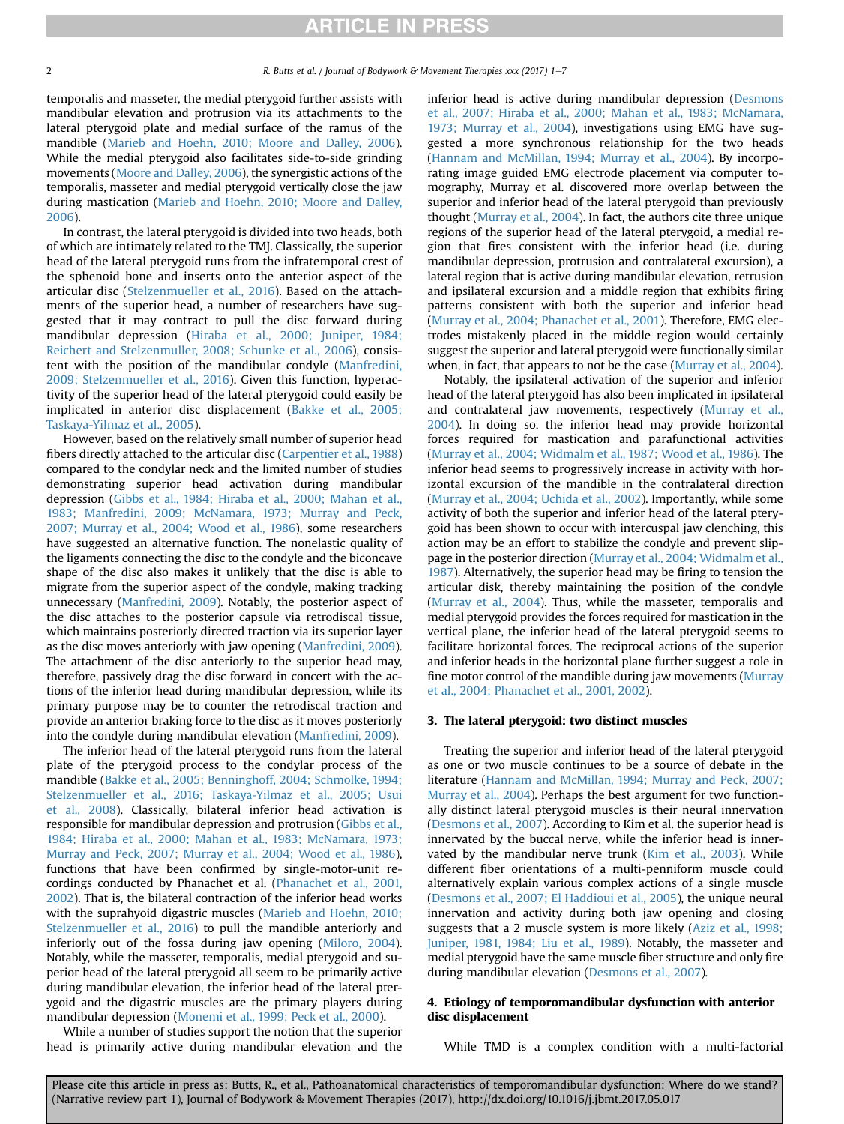temporalis and masseter, the medial pterygoid further assists with mandibular elevation and protrusion via its attachments to the lateral pterygoid plate and medial surface of the ramus of the mandible ([Marieb and Hoehn, 2010; Moore and Dalley, 2006\)](#page-5-0). While the medial pterygoid also facilitates side-to-side grinding movements ([Moore and Dalley, 2006\)](#page-5-0), the synergistic actions of the temporalis, masseter and medial pterygoid vertically close the jaw during mastication ([Marieb and Hoehn, 2010; Moore and Dalley,](#page-5-0) [2006](#page-5-0)).

In contrast, the lateral pterygoid is divided into two heads, both of which are intimately related to the TMJ. Classically, the superior head of the lateral pterygoid runs from the infratemporal crest of the sphenoid bone and inserts onto the anterior aspect of the articular disc ([Stelzenmueller et al., 2016\)](#page-5-0). Based on the attachments of the superior head, a number of researchers have suggested that it may contract to pull the disc forward during mandibular depression ([Hiraba et al., 2000; Juniper, 1984;](#page-4-0) [Reichert and Stelzenmuller, 2008; Schunke et al., 2006\)](#page-4-0), consistent with the position of the mandibular condyle [\(Manfredini,](#page-5-0) [2009; Stelzenmueller et al., 2016\)](#page-5-0). Given this function, hyperactivity of the superior head of the lateral pterygoid could easily be implicated in anterior disc displacement ([Bakke et al., 2005;](#page-4-0) [Taskaya-Yilmaz et al., 2005\)](#page-4-0).

However, based on the relatively small number of superior head fibers directly attached to the articular disc [\(Carpentier et al., 1988\)](#page-4-0) compared to the condylar neck and the limited number of studies demonstrating superior head activation during mandibular depression [\(Gibbs et al., 1984; Hiraba et al., 2000; Mahan et al.,](#page-4-0) [1983; Manfredini, 2009; McNamara, 1973; Murray and Peck,](#page-4-0) [2007; Murray et al., 2004; Wood et al., 1986\)](#page-4-0), some researchers have suggested an alternative function. The nonelastic quality of the ligaments connecting the disc to the condyle and the biconcave shape of the disc also makes it unlikely that the disc is able to migrate from the superior aspect of the condyle, making tracking unnecessary [\(Manfredini, 2009\)](#page-5-0). Notably, the posterior aspect of the disc attaches to the posterior capsule via retrodiscal tissue, which maintains posteriorly directed traction via its superior layer as the disc moves anteriorly with jaw opening ([Manfredini, 2009\)](#page-5-0). The attachment of the disc anteriorly to the superior head may, therefore, passively drag the disc forward in concert with the actions of the inferior head during mandibular depression, while its primary purpose may be to counter the retrodiscal traction and provide an anterior braking force to the disc as it moves posteriorly into the condyle during mandibular elevation [\(Manfredini, 2009\)](#page-5-0).

The inferior head of the lateral pterygoid runs from the lateral plate of the pterygoid process to the condylar process of the mandible ([Bakke et al., 2005; Benninghoff, 2004; Schmolke, 1994;](#page-4-0) [Stelzenmueller et al., 2016; Taskaya-Yilmaz et al., 2005; Usui](#page-4-0) [et al., 2008\)](#page-4-0). Classically, bilateral inferior head activation is responsible for mandibular depression and protrusion ([Gibbs et al.,](#page-4-0) [1984; Hiraba et al., 2000; Mahan et al., 1983; McNamara, 1973;](#page-4-0) [Murray and Peck, 2007; Murray et al., 2004; Wood et al., 1986\)](#page-4-0), functions that have been confirmed by single-motor-unit recordings conducted by Phanachet et al. [\(Phanachet et al., 2001,](#page-5-0) [2002](#page-5-0)). That is, the bilateral contraction of the inferior head works with the suprahyoid digastric muscles ([Marieb and Hoehn, 2010;](#page-5-0) [Stelzenmueller et al., 2016\)](#page-5-0) to pull the mandible anteriorly and inferiorly out of the fossa during jaw opening [\(Miloro, 2004\)](#page-5-0). Notably, while the masseter, temporalis, medial pterygoid and superior head of the lateral pterygoid all seem to be primarily active during mandibular elevation, the inferior head of the lateral pterygoid and the digastric muscles are the primary players during mandibular depression ([Monemi et al., 1999; Peck et al., 2000\)](#page-5-0).

While a number of studies support the notion that the superior head is primarily active during mandibular elevation and the inferior head is active during mandibular depression [\(Desmons](#page-4-0) [et al., 2007; Hiraba et al., 2000; Mahan et al., 1983; McNamara,](#page-4-0) [1973; Murray et al., 2004](#page-4-0)), investigations using EMG have suggested a more synchronous relationship for the two heads ([Hannam and McMillan, 1994; Murray et al., 2004](#page-4-0)). By incorporating image guided EMG electrode placement via computer tomography, Murray et al. discovered more overlap between the superior and inferior head of the lateral pterygoid than previously thought [\(Murray et al., 2004\)](#page-5-0). In fact, the authors cite three unique regions of the superior head of the lateral pterygoid, a medial region that fires consistent with the inferior head (i.e. during mandibular depression, protrusion and contralateral excursion), a lateral region that is active during mandibular elevation, retrusion and ipsilateral excursion and a middle region that exhibits firing patterns consistent with both the superior and inferior head ([Murray et al., 2004; Phanachet et al., 2001\)](#page-5-0). Therefore, EMG electrodes mistakenly placed in the middle region would certainly suggest the superior and lateral pterygoid were functionally similar when, in fact, that appears to not be the case [\(Murray et al., 2004\)](#page-5-0).

Notably, the ipsilateral activation of the superior and inferior head of the lateral pterygoid has also been implicated in ipsilateral and contralateral jaw movements, respectively [\(Murray et al.,](#page-5-0) [2004](#page-5-0)). In doing so, the inferior head may provide horizontal forces required for mastication and parafunctional activities ([Murray et al., 2004; Widmalm et al., 1987; Wood et al., 1986\)](#page-5-0). The inferior head seems to progressively increase in activity with horizontal excursion of the mandible in the contralateral direction ([Murray et al., 2004; Uchida et al., 2002\)](#page-5-0). Importantly, while some activity of both the superior and inferior head of the lateral pterygoid has been shown to occur with intercuspal jaw clenching, this action may be an effort to stabilize the condyle and prevent slippage in the posterior direction [\(Murray et al., 2004; Widmalm et al.,](#page-5-0) [1987](#page-5-0)). Alternatively, the superior head may be firing to tension the articular disk, thereby maintaining the position of the condyle ([Murray et al., 2004](#page-5-0)). Thus, while the masseter, temporalis and medial pterygoid provides the forces required for mastication in the vertical plane, the inferior head of the lateral pterygoid seems to facilitate horizontal forces. The reciprocal actions of the superior and inferior heads in the horizontal plane further suggest a role in fine motor control of the mandible during jaw movements [\(Murray](#page-5-0) [et al., 2004; Phanachet et al., 2001, 2002\)](#page-5-0).

#### 3. The lateral pterygoid: two distinct muscles

Treating the superior and inferior head of the lateral pterygoid as one or two muscle continues to be a source of debate in the literature [\(Hannam and McMillan, 1994; Murray and Peck, 2007;](#page-4-0) [Murray et al., 2004](#page-4-0)). Perhaps the best argument for two functionally distinct lateral pterygoid muscles is their neural innervation ([Desmons et al., 2007](#page-4-0)). According to Kim et al. the superior head is innervated by the buccal nerve, while the inferior head is innervated by the mandibular nerve trunk ([Kim et al., 2003](#page-5-0)). While different fiber orientations of a multi-penniform muscle could alternatively explain various complex actions of a single muscle ([Desmons et al., 2007; El Haddioui et al., 2005\)](#page-4-0), the unique neural innervation and activity during both jaw opening and closing suggests that a 2 muscle system is more likely ([Aziz et al., 1998;](#page-4-0) [Juniper, 1981, 1984; Liu et al., 1989](#page-4-0)). Notably, the masseter and medial pterygoid have the same muscle fiber structure and only fire during mandibular elevation ([Desmons et al., 2007\)](#page-4-0).

### 4. Etiology of temporomandibular dysfunction with anterior disc displacement

While TMD is a complex condition with a multi-factorial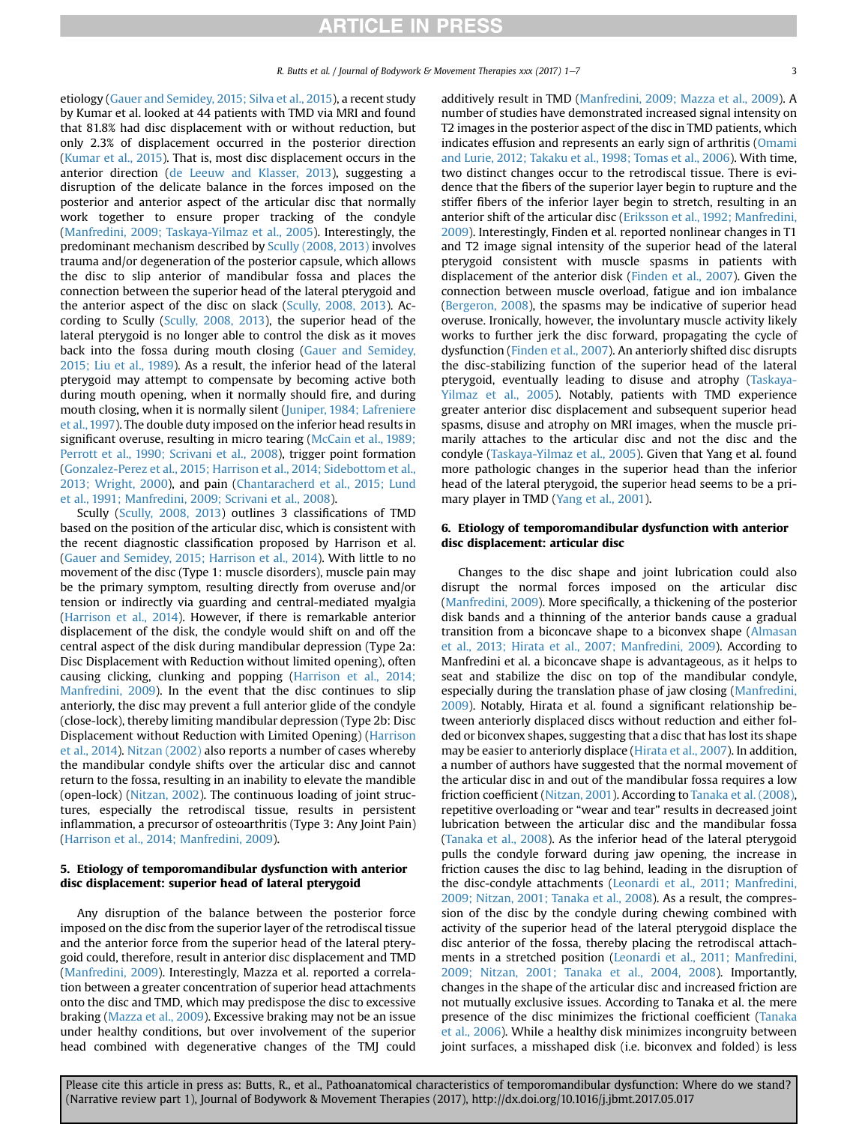etiology ([Gauer and Semidey, 2015; Silva et al., 2015\)](#page-4-0), a recent study by Kumar et al. looked at 44 patients with TMD via MRI and found that 81.8% had disc displacement with or without reduction, but only 2.3% of displacement occurred in the posterior direction ([Kumar et al., 2015\)](#page-5-0). That is, most disc displacement occurs in the anterior direction ([de Leeuw and Klasser, 2013](#page-4-0)), suggesting a disruption of the delicate balance in the forces imposed on the posterior and anterior aspect of the articular disc that normally work together to ensure proper tracking of the condyle ([Manfredini, 2009; Taskaya-Yilmaz et al., 2005](#page-5-0)). Interestingly, the predominant mechanism described by [Scully \(2008, 2013\)](#page-5-0) involves trauma and/or degeneration of the posterior capsule, which allows the disc to slip anterior of mandibular fossa and places the connection between the superior head of the lateral pterygoid and the anterior aspect of the disc on slack ([Scully, 2008, 2013\)](#page-5-0). According to Scully ([Scully, 2008, 2013\)](#page-5-0), the superior head of the lateral pterygoid is no longer able to control the disk as it moves back into the fossa during mouth closing ([Gauer and Semidey,](#page-4-0) [2015; Liu et al., 1989\)](#page-4-0). As a result, the inferior head of the lateral pterygoid may attempt to compensate by becoming active both during mouth opening, when it normally should fire, and during mouth closing, when it is normally silent ([Juniper, 1984; Lafreniere](#page-5-0) [et al., 1997](#page-5-0)). The double duty imposed on the inferior head results in significant overuse, resulting in micro tearing ([McCain et al., 1989;](#page-5-0) [Perrott et al., 1990; Scrivani et al., 2008](#page-5-0)), trigger point formation ([Gonzalez-Perez et al., 2015; Harrison et al., 2014; Sidebottom et al.,](#page-4-0) [2013; Wright, 2000](#page-4-0)), and pain [\(Chantaracherd et al., 2015; Lund](#page-4-0) [et al., 1991; Manfredini, 2009; Scrivani et al., 2008](#page-4-0)).

Scully [\(Scully, 2008, 2013](#page-5-0)) outlines 3 classifications of TMD based on the position of the articular disc, which is consistent with the recent diagnostic classification proposed by Harrison et al. ([Gauer and Semidey, 2015; Harrison et al., 2014](#page-4-0)). With little to no movement of the disc (Type 1: muscle disorders), muscle pain may be the primary symptom, resulting directly from overuse and/or tension or indirectly via guarding and central-mediated myalgia ([Harrison et al., 2014\)](#page-4-0). However, if there is remarkable anterior displacement of the disk, the condyle would shift on and off the central aspect of the disk during mandibular depression (Type 2a: Disc Displacement with Reduction without limited opening), often causing clicking, clunking and popping [\(Harrison et al., 2014;](#page-4-0) [Manfredini, 2009\)](#page-4-0). In the event that the disc continues to slip anteriorly, the disc may prevent a full anterior glide of the condyle (close-lock), thereby limiting mandibular depression (Type 2b: Disc Displacement without Reduction with Limited Opening) ([Harrison](#page-4-0) [et al., 2014\)](#page-4-0). [Nitzan \(2002\)](#page-5-0) also reports a number of cases whereby the mandibular condyle shifts over the articular disc and cannot return to the fossa, resulting in an inability to elevate the mandible (open-lock) [\(Nitzan, 2002\)](#page-5-0). The continuous loading of joint structures, especially the retrodiscal tissue, results in persistent inflammation, a precursor of osteoarthritis (Type 3: Any Joint Pain) ([Harrison et al., 2014; Manfredini, 2009\)](#page-4-0).

#### 5. Etiology of temporomandibular dysfunction with anterior disc displacement: superior head of lateral pterygoid

Any disruption of the balance between the posterior force imposed on the disc from the superior layer of the retrodiscal tissue and the anterior force from the superior head of the lateral pterygoid could, therefore, result in anterior disc displacement and TMD ([Manfredini, 2009\)](#page-5-0). Interestingly, Mazza et al. reported a correlation between a greater concentration of superior head attachments onto the disc and TMD, which may predispose the disc to excessive braking [\(Mazza et al., 2009\)](#page-5-0). Excessive braking may not be an issue under healthy conditions, but over involvement of the superior head combined with degenerative changes of the TMJ could additively result in TMD [\(Manfredini, 2009; Mazza et al., 2009\)](#page-5-0). A number of studies have demonstrated increased signal intensity on T2 images in the posterior aspect of the disc in TMD patients, which indicates effusion and represents an early sign of arthritis ([Omami](#page-5-0) [and Lurie, 2012; Takaku et al., 1998; Tomas et al., 2006](#page-5-0)). With time, two distinct changes occur to the retrodiscal tissue. There is evidence that the fibers of the superior layer begin to rupture and the stiffer fibers of the inferior layer begin to stretch, resulting in an anterior shift of the articular disc [\(Eriksson et al., 1992; Manfredini,](#page-4-0) [2009\)](#page-4-0). Interestingly, Finden et al. reported nonlinear changes in T1 and T2 image signal intensity of the superior head of the lateral pterygoid consistent with muscle spasms in patients with displacement of the anterior disk ([Finden et al., 2007](#page-4-0)). Given the connection between muscle overload, fatigue and ion imbalance ([Bergeron, 2008](#page-4-0)), the spasms may be indicative of superior head overuse. Ironically, however, the involuntary muscle activity likely works to further jerk the disc forward, propagating the cycle of dysfunction ([Finden et al., 2007](#page-4-0)). An anteriorly shifted disc disrupts the disc-stabilizing function of the superior head of the lateral pterygoid, eventually leading to disuse and atrophy ([Taskaya-](#page-5-0)[Yilmaz et al., 2005](#page-5-0)). Notably, patients with TMD experience greater anterior disc displacement and subsequent superior head spasms, disuse and atrophy on MRI images, when the muscle primarily attaches to the articular disc and not the disc and the condyle ([Taskaya-Yilmaz et al., 2005](#page-5-0)). Given that Yang et al. found more pathologic changes in the superior head than the inferior head of the lateral pterygoid, the superior head seems to be a primary player in TMD ([Yang et al., 2001](#page-6-0)).

#### 6. Etiology of temporomandibular dysfunction with anterior disc displacement: articular disc

Changes to the disc shape and joint lubrication could also disrupt the normal forces imposed on the articular disc ([Manfredini, 2009\)](#page-5-0). More specifically, a thickening of the posterior disk bands and a thinning of the anterior bands cause a gradual transition from a biconcave shape to a biconvex shape [\(Almasan](#page-4-0) [et al., 2013; Hirata et al., 2007; Manfredini, 2009](#page-4-0)). According to Manfredini et al. a biconcave shape is advantageous, as it helps to seat and stabilize the disc on top of the mandibular condyle, especially during the translation phase of jaw closing ([Manfredini,](#page-5-0) [2009\)](#page-5-0). Notably, Hirata et al. found a significant relationship between anteriorly displaced discs without reduction and either folded or biconvex shapes, suggesting that a disc that has lost its shape may be easier to anteriorly displace ([Hirata et al., 2007](#page-4-0)). In addition, a number of authors have suggested that the normal movement of the articular disc in and out of the mandibular fossa requires a low friction coefficient ([Nitzan, 2001](#page-5-0)). According to [Tanaka et al. \(2008\),](#page-5-0) repetitive overloading or "wear and tear" results in decreased joint lubrication between the articular disc and the mandibular fossa ([Tanaka et al., 2008\)](#page-5-0). As the inferior head of the lateral pterygoid pulls the condyle forward during jaw opening, the increase in friction causes the disc to lag behind, leading in the disruption of the disc-condyle attachments ([Leonardi et al., 2011; Manfredini,](#page-5-0) [2009; Nitzan, 2001; Tanaka et al., 2008](#page-5-0)). As a result, the compression of the disc by the condyle during chewing combined with activity of the superior head of the lateral pterygoid displace the disc anterior of the fossa, thereby placing the retrodiscal attachments in a stretched position [\(Leonardi et al., 2011; Manfredini,](#page-5-0) [2009; Nitzan, 2001; Tanaka et al., 2004, 2008](#page-5-0)). Importantly, changes in the shape of the articular disc and increased friction are not mutually exclusive issues. According to Tanaka et al. the mere presence of the disc minimizes the frictional coefficient [\(Tanaka](#page-5-0) [et al., 2006\)](#page-5-0). While a healthy disk minimizes incongruity between joint surfaces, a misshaped disk (i.e. biconvex and folded) is less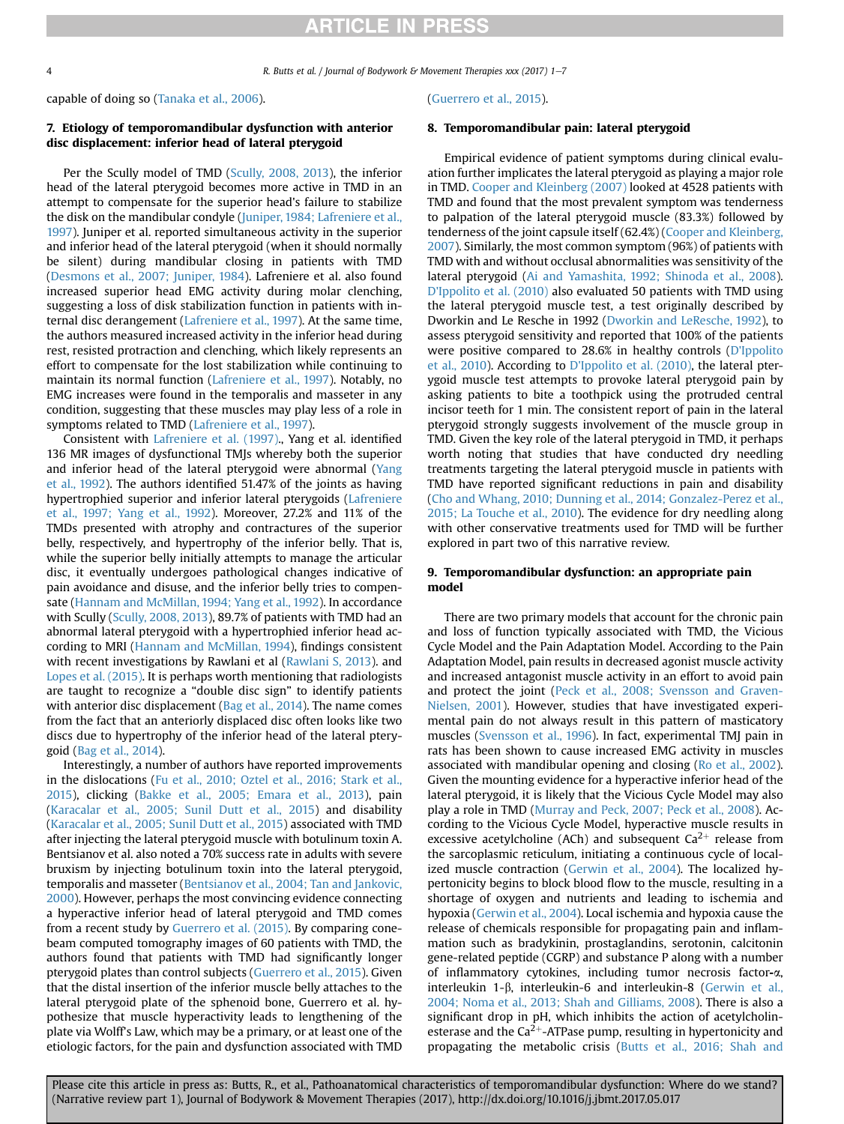R. Butts et al. / Journal of Bodywork & Movement Therapies xxx (2017) 1-7

capable of doing so ([Tanaka et al., 2006](#page-5-0)).

### 7. Etiology of temporomandibular dysfunction with anterior disc displacement: inferior head of lateral pterygoid

Per the Scully model of TMD ([Scully, 2008, 2013](#page-5-0)), the inferior head of the lateral pterygoid becomes more active in TMD in an attempt to compensate for the superior head's failure to stabilize the disk on the mandibular condyle ([Juniper, 1984; Lafreniere et al.,](#page-5-0) [1997](#page-5-0)). Juniper et al. reported simultaneous activity in the superior and inferior head of the lateral pterygoid (when it should normally be silent) during mandibular closing in patients with TMD ([Desmons et al., 2007; Juniper, 1984\)](#page-4-0). Lafreniere et al. also found increased superior head EMG activity during molar clenching, suggesting a loss of disk stabilization function in patients with internal disc derangement [\(Lafreniere et al., 1997](#page-5-0)). At the same time, the authors measured increased activity in the inferior head during rest, resisted protraction and clenching, which likely represents an effort to compensate for the lost stabilization while continuing to maintain its normal function ([Lafreniere et al., 1997](#page-5-0)). Notably, no EMG increases were found in the temporalis and masseter in any condition, suggesting that these muscles may play less of a role in symptoms related to TMD ([Lafreniere et al., 1997](#page-5-0)).

Consistent with [Lafreniere et al. \(1997\)](#page-5-0)., Yang et al. identified 136 MR images of dysfunctional TMJs whereby both the superior and inferior head of the lateral pterygoid were abnormal ([Yang](#page-6-0) [et al., 1992](#page-6-0)). The authors identified 51.47% of the joints as having hypertrophied superior and inferior lateral pterygoids ([Lafreniere](#page-5-0) [et al., 1997; Yang et al., 1992\)](#page-5-0). Moreover, 27.2% and 11% of the TMDs presented with atrophy and contractures of the superior belly, respectively, and hypertrophy of the inferior belly. That is, while the superior belly initially attempts to manage the articular disc, it eventually undergoes pathological changes indicative of pain avoidance and disuse, and the inferior belly tries to compensate ([Hannam and McMillan, 1994; Yang et al., 1992](#page-4-0)). In accordance with Scully ([Scully, 2008, 2013\)](#page-5-0), 89.7% of patients with TMD had an abnormal lateral pterygoid with a hypertrophied inferior head according to MRI [\(Hannam and McMillan, 1994\)](#page-4-0), findings consistent with recent investigations by Rawlani et al [\(Rawlani S, 2013](#page-5-0)). and [Lopes et al. \(2015\)](#page-5-0). It is perhaps worth mentioning that radiologists are taught to recognize a "double disc sign" to identify patients with anterior disc displacement ([Bag et al., 2014](#page-4-0)). The name comes from the fact that an anteriorly displaced disc often looks like two discs due to hypertrophy of the inferior head of the lateral pterygoid ([Bag et al., 2014\)](#page-4-0).

Interestingly, a number of authors have reported improvements in the dislocations ([Fu et al., 2010; Oztel et al., 2016; Stark et al.,](#page-4-0) [2015](#page-4-0)), clicking [\(Bakke et al., 2005; Emara et al., 2013](#page-4-0)), pain ([Karacalar et al., 2005; Sunil Dutt et al., 2015](#page-5-0)) and disability ([Karacalar et al., 2005; Sunil Dutt et al., 2015\)](#page-5-0) associated with TMD after injecting the lateral pterygoid muscle with botulinum toxin A. Bentsianov et al. also noted a 70% success rate in adults with severe bruxism by injecting botulinum toxin into the lateral pterygoid, temporalis and masseter [\(Bentsianov et al., 2004; Tan and Jankovic,](#page-4-0) [2000](#page-4-0)). However, perhaps the most convincing evidence connecting a hyperactive inferior head of lateral pterygoid and TMD comes from a recent study by [Guerrero et al. \(2015\)](#page-4-0). By comparing conebeam computed tomography images of 60 patients with TMD, the authors found that patients with TMD had significantly longer pterygoid plates than control subjects [\(Guerrero et al., 2015](#page-4-0)). Given that the distal insertion of the inferior muscle belly attaches to the lateral pterygoid plate of the sphenoid bone, Guerrero et al. hypothesize that muscle hyperactivity leads to lengthening of the plate via Wolff's Law, which may be a primary, or at least one of the etiologic factors, for the pain and dysfunction associated with TMD

#### ([Guerrero et al., 2015](#page-4-0)).

#### 8. Temporomandibular pain: lateral pterygoid

Empirical evidence of patient symptoms during clinical evaluation further implicates the lateral pterygoid as playing a major role in TMD. [Cooper and Kleinberg \(2007\)](#page-4-0) looked at 4528 patients with TMD and found that the most prevalent symptom was tenderness to palpation of the lateral pterygoid muscle (83.3%) followed by tenderness of the joint capsule itself (62.4%) [\(Cooper and Kleinberg,](#page-4-0) [2007\)](#page-4-0). Similarly, the most common symptom (96%) of patients with TMD with and without occlusal abnormalities was sensitivity of the lateral pterygoid ([Ai and Yamashita, 1992; Shinoda et al., 2008\)](#page-4-0). [D'Ippolito et al. \(2010\)](#page-4-0) also evaluated 50 patients with TMD using the lateral pterygoid muscle test, a test originally described by Dworkin and Le Resche in 1992 [\(Dworkin and LeResche, 1992\)](#page-4-0), to assess pterygoid sensitivity and reported that 100% of the patients were positive compared to 28.6% in healthy controls ([D'Ippolito](#page-4-0) [et al., 2010](#page-4-0)). According to [D'Ippolito et al. \(2010\)](#page-4-0), the lateral pterygoid muscle test attempts to provoke lateral pterygoid pain by asking patients to bite a toothpick using the protruded central incisor teeth for 1 min. The consistent report of pain in the lateral pterygoid strongly suggests involvement of the muscle group in TMD. Given the key role of the lateral pterygoid in TMD, it perhaps worth noting that studies that have conducted dry needling treatments targeting the lateral pterygoid muscle in patients with TMD have reported significant reductions in pain and disability ([Cho and Whang, 2010; Dunning et al., 2014; Gonzalez-Perez et al.,](#page-4-0) [2015; La Touche et al., 2010](#page-4-0)). The evidence for dry needling along with other conservative treatments used for TMD will be further explored in part two of this narrative review.

### 9. Temporomandibular dysfunction: an appropriate pain model

There are two primary models that account for the chronic pain and loss of function typically associated with TMD, the Vicious Cycle Model and the Pain Adaptation Model. According to the Pain Adaptation Model, pain results in decreased agonist muscle activity and increased antagonist muscle activity in an effort to avoid pain and protect the joint [\(Peck et al., 2008; Svensson and Graven-](#page-5-0)[Nielsen, 2001\)](#page-5-0). However, studies that have investigated experimental pain do not always result in this pattern of masticatory muscles [\(Svensson et al., 1996\)](#page-5-0). In fact, experimental TMJ pain in rats has been shown to cause increased EMG activity in muscles associated with mandibular opening and closing [\(Ro et al., 2002\)](#page-5-0). Given the mounting evidence for a hyperactive inferior head of the lateral pterygoid, it is likely that the Vicious Cycle Model may also play a role in TMD ([Murray and Peck, 2007; Peck et al., 2008\)](#page-5-0). According to the Vicious Cycle Model, hyperactive muscle results in excessive acetylcholine (ACh) and subsequent  $Ca^{2+}$  release from the sarcoplasmic reticulum, initiating a continuous cycle of localized muscle contraction [\(Gerwin et al., 2004](#page-4-0)). The localized hypertonicity begins to block blood flow to the muscle, resulting in a shortage of oxygen and nutrients and leading to ischemia and hypoxia [\(Gerwin et al., 2004\)](#page-4-0). Local ischemia and hypoxia cause the release of chemicals responsible for propagating pain and inflammation such as bradykinin, prostaglandins, serotonin, calcitonin gene-related peptide (CGRP) and substance P along with a number of inflammatory cytokines, including tumor necrosis factor-a, interleukin 1- $\beta$ , interleukin-6 and interleukin-8 ([Gerwin et al.,](#page-4-0) [2004; Noma et al., 2013; Shah and Gilliams, 2008\)](#page-4-0). There is also a significant drop in pH, which inhibits the action of acetylcholinesterase and the  $Ca^{2+}$ -ATPase pump, resulting in hypertonicity and propagating the metabolic crisis [\(Butts et al., 2016; Shah and](#page-4-0)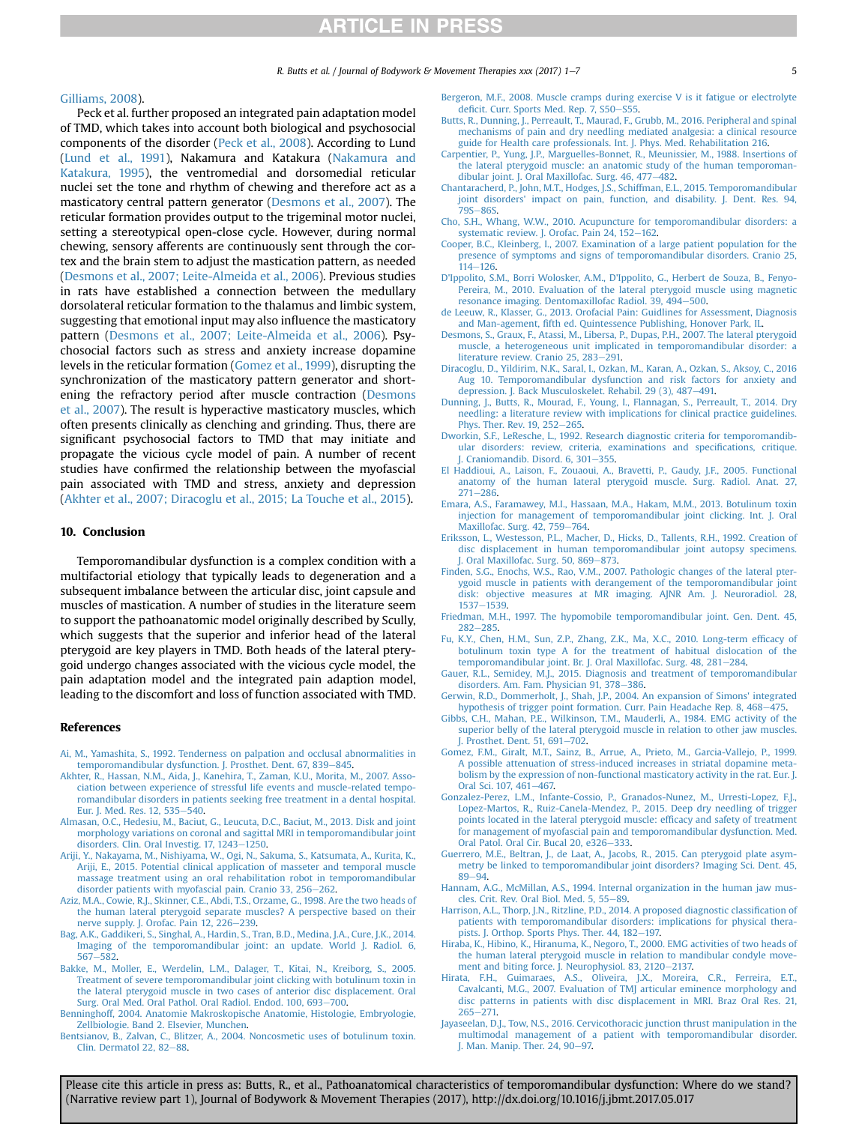#### <span id="page-4-0"></span>Gilliams, 2008).

Peck et al. further proposed an integrated pain adaptation model of TMD, which takes into account both biological and psychosocial components of the disorder [\(Peck et al., 2008](#page-5-0)). According to Lund ([Lund et al., 1991\)](#page-5-0), Nakamura and Katakura ([Nakamura and](#page-5-0) [Katakura, 1995](#page-5-0)), the ventromedial and dorsomedial reticular nuclei set the tone and rhythm of chewing and therefore act as a masticatory central pattern generator (Desmons et al., 2007). The reticular formation provides output to the trigeminal motor nuclei, setting a stereotypical open-close cycle. However, during normal chewing, sensory afferents are continuously sent through the cortex and the brain stem to adjust the mastication pattern, as needed (Desmons et al., 2007; Leite-Almeida et al., 2006). Previous studies in rats have established a connection between the medullary dorsolateral reticular formation to the thalamus and limbic system, suggesting that emotional input may also influence the masticatory pattern (Desmons et al., 2007; Leite-Almeida et al., 2006). Psychosocial factors such as stress and anxiety increase dopamine levels in the reticular formation (Gomez et al., 1999), disrupting the synchronization of the masticatory pattern generator and shortening the refractory period after muscle contraction (Desmons et al., 2007). The result is hyperactive masticatory muscles, which often presents clinically as clenching and grinding. Thus, there are significant psychosocial factors to TMD that may initiate and propagate the vicious cycle model of pain. A number of recent studies have confirmed the relationship between the myofascial pain associated with TMD and stress, anxiety and depression (Akhter et al., 2007; Diracoglu et al., 2015; La Touche et al., 2015).

#### 10. Conclusion

Temporomandibular dysfunction is a complex condition with a multifactorial etiology that typically leads to degeneration and a subsequent imbalance between the articular disc, joint capsule and muscles of mastication. A number of studies in the literature seem to support the pathoanatomic model originally described by Scully, which suggests that the superior and inferior head of the lateral pterygoid are key players in TMD. Both heads of the lateral pterygoid undergo changes associated with the vicious cycle model, the pain adaptation model and the integrated pain adaption model, leading to the discomfort and loss of function associated with TMD.

#### References

- [Ai, M., Yamashita, S., 1992. Tenderness on palpation and occlusal abnormalities in](http://refhub.elsevier.com/S1360-8592(17)30117-1/sref1) [temporomandibular dysfunction. J. Prosthet. Dent. 67, 839](http://refhub.elsevier.com/S1360-8592(17)30117-1/sref1)-[845](http://refhub.elsevier.com/S1360-8592(17)30117-1/sref1).
- [Akhter, R., Hassan, N.M., Aida, J., Kanehira, T., Zaman, K.U., Morita, M., 2007. Asso](http://refhub.elsevier.com/S1360-8592(17)30117-1/sref2)[ciation between experience of stressful life events and muscle-related tempo](http://refhub.elsevier.com/S1360-8592(17)30117-1/sref2)[romandibular disorders in patients seeking free treatment in a dental hospital.](http://refhub.elsevier.com/S1360-8592(17)30117-1/sref2) [Eur. J. Med. Res. 12, 535](http://refhub.elsevier.com/S1360-8592(17)30117-1/sref2)-[540](http://refhub.elsevier.com/S1360-8592(17)30117-1/sref2).
- [Almasan, O.C., Hedesiu, M., Baciut, G., Leucuta, D.C., Baciut, M., 2013. Disk and joint](http://refhub.elsevier.com/S1360-8592(17)30117-1/sref3) [morphology variations on coronal and sagittal MRI in temporomandibular joint](http://refhub.elsevier.com/S1360-8592(17)30117-1/sref3) [disorders. Clin. Oral Investig. 17, 1243](http://refhub.elsevier.com/S1360-8592(17)30117-1/sref3)-[1250.](http://refhub.elsevier.com/S1360-8592(17)30117-1/sref3)
- [Ariji, Y., Nakayama, M., Nishiyama, W., Ogi, N., Sakuma, S., Katsumata, A., Kurita, K.,](http://refhub.elsevier.com/S1360-8592(17)30117-1/sref4) [Ariji, E., 2015. Potential clinical application of masseter and temporal muscle](http://refhub.elsevier.com/S1360-8592(17)30117-1/sref4) [massage treatment using an oral rehabilitation robot in temporomandibular](http://refhub.elsevier.com/S1360-8592(17)30117-1/sref4) disorder patients with myofascial pain. Cranio 33,  $256-262$ .
- [Aziz, M.A., Cowie, R.J., Skinner, C.E., Abdi, T.S., Orzame, G., 1998. Are the two heads of](http://refhub.elsevier.com/S1360-8592(17)30117-1/sref5) [the human lateral pterygoid separate muscles? A perspective based on their](http://refhub.elsevier.com/S1360-8592(17)30117-1/sref5) [nerve supply. J. Orofac. Pain 12, 226](http://refhub.elsevier.com/S1360-8592(17)30117-1/sref5)-[239.](http://refhub.elsevier.com/S1360-8592(17)30117-1/sref5)
- [Bag, A.K., Gaddikeri, S., Singhal, A., Hardin, S., Tran, B.D., Medina, J.A., Cure, J.K., 2014.](http://refhub.elsevier.com/S1360-8592(17)30117-1/sref6) [Imaging of the temporomandibular joint: an update. World J. Radiol. 6,](http://refhub.elsevier.com/S1360-8592(17)30117-1/sref6) [567](http://refhub.elsevier.com/S1360-8592(17)30117-1/sref6)-[582](http://refhub.elsevier.com/S1360-8592(17)30117-1/sref6)
- [Bakke, M., Moller, E., Werdelin, L.M., Dalager, T., Kitai, N., Kreiborg, S., 2005.](http://refhub.elsevier.com/S1360-8592(17)30117-1/sref7) [Treatment of severe temporomandibular joint clicking with botulinum toxin in](http://refhub.elsevier.com/S1360-8592(17)30117-1/sref7) [the lateral pterygoid muscle in two cases of anterior disc displacement. Oral](http://refhub.elsevier.com/S1360-8592(17)30117-1/sref7) [Surg. Oral Med. Oral Pathol. Oral Radiol. Endod. 100, 693](http://refhub.elsevier.com/S1360-8592(17)30117-1/sref7)-[700](http://refhub.elsevier.com/S1360-8592(17)30117-1/sref7).
- [Benninghoff, 2004. Anatomie Makroskopische Anatomie, Histologie, Embryologie,](http://refhub.elsevier.com/S1360-8592(17)30117-1/sref8) [Zellbiologie. Band 2. Elsevier, Munchen](http://refhub.elsevier.com/S1360-8592(17)30117-1/sref8).
- [Bentsianov, B., Zalvan, C., Blitzer, A., 2004. Noncosmetic uses of botulinum toxin.](http://refhub.elsevier.com/S1360-8592(17)30117-1/sref9) [Clin. Dermatol 22, 82](http://refhub.elsevier.com/S1360-8592(17)30117-1/sref9)-[88.](http://refhub.elsevier.com/S1360-8592(17)30117-1/sref9)
- [Bergeron, M.F., 2008. Muscle cramps during exercise V is it fatigue or electrolyte](http://refhub.elsevier.com/S1360-8592(17)30117-1/sref10) defi[cit. Curr. Sports Med. Rep. 7, S50](http://refhub.elsevier.com/S1360-8592(17)30117-1/sref10)-[S55](http://refhub.elsevier.com/S1360-8592(17)30117-1/sref10).
- [Butts, R., Dunning, J., Perreault, T., Maurad, F., Grubb, M., 2016. Peripheral and spinal](http://refhub.elsevier.com/S1360-8592(17)30117-1/sref11) [mechanisms of pain and dry needling mediated analgesia: a clinical resource](http://refhub.elsevier.com/S1360-8592(17)30117-1/sref11) [guide for Health care professionals. Int. J. Phys. Med. Rehabilitation 216.](http://refhub.elsevier.com/S1360-8592(17)30117-1/sref11)
- [Carpentier, P., Yung, J.P., Marguelles-Bonnet, R., Meunissier, M., 1988. Insertions of](http://refhub.elsevier.com/S1360-8592(17)30117-1/sref12) [the lateral pterygoid muscle: an anatomic study of the human temporoman](http://refhub.elsevier.com/S1360-8592(17)30117-1/sref12)[dibular joint. J. Oral Maxillofac. Surg. 46, 477](http://refhub.elsevier.com/S1360-8592(17)30117-1/sref12)-[482](http://refhub.elsevier.com/S1360-8592(17)30117-1/sref12).
- [Chantaracherd, P., John, M.T., Hodges, J.S., Schiffman, E.L., 2015. Temporomandibular](http://refhub.elsevier.com/S1360-8592(17)30117-1/sref13) [joint disorders' impact on pain, function, and disability. J. Dent. Res. 94,](http://refhub.elsevier.com/S1360-8592(17)30117-1/sref13) [79S](http://refhub.elsevier.com/S1360-8592(17)30117-1/sref13)-[86S.](http://refhub.elsevier.com/S1360-8592(17)30117-1/sref13)
- [Cho, S.H., Whang, W.W., 2010. Acupuncture for temporomandibular disorders: a](http://refhub.elsevier.com/S1360-8592(17)30117-1/sref14) [systematic review. J. Orofac. Pain 24, 152](http://refhub.elsevier.com/S1360-8592(17)30117-1/sref14)-[162.](http://refhub.elsevier.com/S1360-8592(17)30117-1/sref14)
- [Cooper, B.C., Kleinberg, I., 2007. Examination of a large patient population for the](http://refhub.elsevier.com/S1360-8592(17)30117-1/sref15) [presence of symptoms and signs of temporomandibular disorders. Cranio 25,](http://refhub.elsevier.com/S1360-8592(17)30117-1/sref15)  $114 - 126$  $114 - 126$ .
- [D'Ippolito, S.M., Borri Wolosker, A.M., D'Ippolito, G., Herbert de Souza, B., Fenyo-](http://refhub.elsevier.com/S1360-8592(17)30117-1/sref16)[Pereira, M., 2010. Evaluation of the lateral pterygoid muscle using magnetic](http://refhub.elsevier.com/S1360-8592(17)30117-1/sref16)
- [resonance imaging. Dentomaxillofac Radiol. 39, 494](http://refhub.elsevier.com/S1360-8592(17)30117-1/sref16)–[500](http://refhub.elsevier.com/S1360-8592(17)30117-1/sref16).<br>[de Leeuw, R., Klasser, G., 2013. Orofacial Pain: Guidlines for Assessment, Diagnosis](http://refhub.elsevier.com/S1360-8592(17)30117-1/sref17) and Man-agement, fi[fth ed. Quintessence Publishing, Honover Park, IL.](http://refhub.elsevier.com/S1360-8592(17)30117-1/sref17)
- [Desmons, S., Graux, F., Atassi, M., Libersa, P., Dupas, P.H., 2007. The lateral pterygoid](http://refhub.elsevier.com/S1360-8592(17)30117-1/sref18) [muscle, a heterogeneous unit implicated in temporomandibular disorder: a](http://refhub.elsevier.com/S1360-8592(17)30117-1/sref18) [literature review. Cranio 25, 283](http://refhub.elsevier.com/S1360-8592(17)30117-1/sref18)-[291.](http://refhub.elsevier.com/S1360-8592(17)30117-1/sref18)
- [Diracoglu, D., Yildirim, N.K., Saral, I., Ozkan, M., Karan, A., Ozkan, S., Aksoy, C., 2016](http://refhub.elsevier.com/S1360-8592(17)30117-1/sref19) [Aug 10. Temporomandibular dysfunction and risk factors for anxiety and](http://refhub.elsevier.com/S1360-8592(17)30117-1/sref19) [depression. J. Back Musculoskelet. Rehabil. 29 \(3\), 487](http://refhub.elsevier.com/S1360-8592(17)30117-1/sref19)-[491.](http://refhub.elsevier.com/S1360-8592(17)30117-1/sref19)
- [Dunning, J., Butts, R., Mourad, F., Young, I., Flannagan, S., Perreault, T., 2014. Dry](http://refhub.elsevier.com/S1360-8592(17)30117-1/sref20) [needling: a literature review with implications for clinical practice guidelines.](http://refhub.elsevier.com/S1360-8592(17)30117-1/sref20) [Phys. Ther. Rev. 19, 252](http://refhub.elsevier.com/S1360-8592(17)30117-1/sref20)-[265.](http://refhub.elsevier.com/S1360-8592(17)30117-1/sref20)
- [Dworkin, S.F., LeResche, L., 1992. Research diagnostic criteria for temporomandib](http://refhub.elsevier.com/S1360-8592(17)30117-1/sref21)[ular disorders: review, criteria, examinations and speci](http://refhub.elsevier.com/S1360-8592(17)30117-1/sref21)fications, critique. . Craniomandib. Disord. 6, 301-[355.](http://refhub.elsevier.com/S1360-8592(17)30117-1/sref21)
- [El Haddioui, A., Laison, F., Zouaoui, A., Bravetti, P., Gaudy, J.F., 2005. Functional](http://refhub.elsevier.com/S1360-8592(17)30117-1/sref22) [anatomy of the human lateral pterygoid muscle. Surg. Radiol. Anat. 27,](http://refhub.elsevier.com/S1360-8592(17)30117-1/sref22)  $271 - 286$  $271 - 286$
- [Emara, A.S., Faramawey, M.I., Hassaan, M.A., Hakam, M.M., 2013. Botulinum toxin](http://refhub.elsevier.com/S1360-8592(17)30117-1/sref23) [injection for management of temporomandibular joint clicking. Int. J. Oral](http://refhub.elsevier.com/S1360-8592(17)30117-1/sref23) [Maxillofac. Surg. 42, 759](http://refhub.elsevier.com/S1360-8592(17)30117-1/sref23)-[764.](http://refhub.elsevier.com/S1360-8592(17)30117-1/sref23)
- [Eriksson, L., Westesson, P.L., Macher, D., Hicks, D., Tallents, R.H., 1992. Creation of](http://refhub.elsevier.com/S1360-8592(17)30117-1/sref24) [disc displacement in human temporomandibular joint autopsy specimens.](http://refhub.elsevier.com/S1360-8592(17)30117-1/sref24) [J. Oral Maxillofac. Surg. 50, 869](http://refhub.elsevier.com/S1360-8592(17)30117-1/sref24)-[873](http://refhub.elsevier.com/S1360-8592(17)30117-1/sref24).
- [Finden, S.G., Enochs, W.S., Rao, V.M., 2007. Pathologic changes of the lateral pter](http://refhub.elsevier.com/S1360-8592(17)30117-1/sref25)[ygoid muscle in patients with derangement of the temporomandibular joint](http://refhub.elsevier.com/S1360-8592(17)30117-1/sref25) [disk: objective measures at MR imaging. AJNR Am. J. Neuroradiol. 28,](http://refhub.elsevier.com/S1360-8592(17)30117-1/sref25)  $1537 - 1539.$  $1537 - 1539.$  $1537 - 1539.$
- [Friedman, M.H., 1997. The hypomobile temporomandibular joint. Gen. Dent. 45,](http://refhub.elsevier.com/S1360-8592(17)30117-1/sref26)  $282 - 285$  $282 - 285$  $282 - 285$ .
- [Fu, K.Y., Chen, H.M., Sun, Z.P., Zhang, Z.K., Ma, X.C., 2010. Long-term ef](http://refhub.elsevier.com/S1360-8592(17)30117-1/sref27)ficacy of [botulinum toxin type A for the treatment of habitual dislocation of the](http://refhub.elsevier.com/S1360-8592(17)30117-1/sref27) [temporomandibular joint. Br. J. Oral Maxillofac. Surg. 48, 281](http://refhub.elsevier.com/S1360-8592(17)30117-1/sref27)-[284](http://refhub.elsevier.com/S1360-8592(17)30117-1/sref27).
- [Gauer, R.L., Semidey, M.J., 2015. Diagnosis and treatment of temporomandibular](http://refhub.elsevier.com/S1360-8592(17)30117-1/sref28) [disorders. Am. Fam. Physician 91, 378](http://refhub.elsevier.com/S1360-8592(17)30117-1/sref28)-[386](http://refhub.elsevier.com/S1360-8592(17)30117-1/sref28).
- [Gerwin, R.D., Dommerholt, J., Shah, J.P., 2004. An expansion of Simons' integrated](http://refhub.elsevier.com/S1360-8592(17)30117-1/sref29) [hypothesis of trigger point formation. Curr. Pain Headache Rep. 8, 468](http://refhub.elsevier.com/S1360-8592(17)30117-1/sref29)-[475.](http://refhub.elsevier.com/S1360-8592(17)30117-1/sref29)
- [Gibbs, C.H., Mahan, P.E., Wilkinson, T.M., Mauderli, A., 1984. EMG activity of the](http://refhub.elsevier.com/S1360-8592(17)30117-1/sref30) [superior belly of the lateral pterygoid muscle in relation to other jaw muscles.](http://refhub.elsevier.com/S1360-8592(17)30117-1/sref30) [J. Prosthet. Dent. 51, 691](http://refhub.elsevier.com/S1360-8592(17)30117-1/sref30)-[702.](http://refhub.elsevier.com/S1360-8592(17)30117-1/sref30)
- [Gomez, F.M., Giralt, M.T., Sainz, B., Arrue, A., Prieto, M., Garcia-Vallejo, P., 1999.](http://refhub.elsevier.com/S1360-8592(17)30117-1/sref31) [A possible attenuation of stress-induced increases in striatal dopamine meta](http://refhub.elsevier.com/S1360-8592(17)30117-1/sref31)[bolism by the expression of non-functional masticatory activity in the rat. Eur. J.](http://refhub.elsevier.com/S1360-8592(17)30117-1/sref31) [Oral Sci. 107, 461](http://refhub.elsevier.com/S1360-8592(17)30117-1/sref31)-[467.](http://refhub.elsevier.com/S1360-8592(17)30117-1/sref31)
- [Gonzalez-Perez, L.M., Infante-Cossio, P., Granados-Nunez, M., Urresti-Lopez, F.J.,](http://refhub.elsevier.com/S1360-8592(17)30117-1/sref32) [Lopez-Martos, R., Ruiz-Canela-Mendez, P., 2015. Deep dry needling of trigger](http://refhub.elsevier.com/S1360-8592(17)30117-1/sref32) [points located in the lateral pterygoid muscle: ef](http://refhub.elsevier.com/S1360-8592(17)30117-1/sref32)ficacy and safety of treatment [for management of myofascial pain and temporomandibular dysfunction. Med.](http://refhub.elsevier.com/S1360-8592(17)30117-1/sref32) [Oral Patol. Oral Cir. Bucal 20, e326](http://refhub.elsevier.com/S1360-8592(17)30117-1/sref32)-[333.](http://refhub.elsevier.com/S1360-8592(17)30117-1/sref32)
- [Guerrero, M.E., Beltran, J., de Laat, A., Jacobs, R., 2015. Can pterygoid plate asym](http://refhub.elsevier.com/S1360-8592(17)30117-1/sref33)[metry be linked to temporomandibular joint disorders? Imaging Sci. Dent. 45,](http://refhub.elsevier.com/S1360-8592(17)30117-1/sref33)  $89 - 94.$  $89 - 94.$  $89 - 94.$
- [Hannam, A.G., McMillan, A.S., 1994. Internal organization in the human jaw mus](http://refhub.elsevier.com/S1360-8592(17)30117-1/sref34)[cles. Crit. Rev. Oral Biol. Med. 5, 55](http://refhub.elsevier.com/S1360-8592(17)30117-1/sref34)-[89.](http://refhub.elsevier.com/S1360-8592(17)30117-1/sref34)
- [Harrison, A.L., Thorp, J.N., Ritzline, P.D., 2014. A proposed diagnostic classi](http://refhub.elsevier.com/S1360-8592(17)30117-1/sref35)fication of [patients with temporomandibular disorders: implications for physical thera](http://refhub.elsevier.com/S1360-8592(17)30117-1/sref35)[pists. J. Orthop. Sports Phys. Ther. 44, 182](http://refhub.elsevier.com/S1360-8592(17)30117-1/sref35)-[197.](http://refhub.elsevier.com/S1360-8592(17)30117-1/sref35)
- [Hiraba, K., Hibino, K., Hiranuma, K., Negoro, T., 2000. EMG activities of two heads of](http://refhub.elsevier.com/S1360-8592(17)30117-1/sref36) [the human lateral pterygoid muscle in relation to mandibular condyle move](http://refhub.elsevier.com/S1360-8592(17)30117-1/sref36)[ment and biting force. J. Neurophysiol. 83, 2120](http://refhub.elsevier.com/S1360-8592(17)30117-1/sref36)-[2137.](http://refhub.elsevier.com/S1360-8592(17)30117-1/sref36)
- [Hirata, F.H., Guimaraes, A.S., Oliveira, J.X., Moreira, C.R., Ferreira, E.T.,](http://refhub.elsevier.com/S1360-8592(17)30117-1/sref37) [Cavalcanti, M.G., 2007. Evaluation of TMJ articular eminence morphology and](http://refhub.elsevier.com/S1360-8592(17)30117-1/sref37) [disc patterns in patients with disc displacement in MRI. Braz Oral Res. 21,](http://refhub.elsevier.com/S1360-8592(17)30117-1/sref37)  $265 - 271$  $265 - 271$ .
- [Jayaseelan, D.J., Tow, N.S., 2016. Cervicothoracic junction thrust manipulation in the](http://refhub.elsevier.com/S1360-8592(17)30117-1/sref38) [multimodal management of a patient with temporomandibular disorder.](http://refhub.elsevier.com/S1360-8592(17)30117-1/sref38) [J. Man. Manip. Ther. 24, 90](http://refhub.elsevier.com/S1360-8592(17)30117-1/sref38)–[97.](http://refhub.elsevier.com/S1360-8592(17)30117-1/sref38)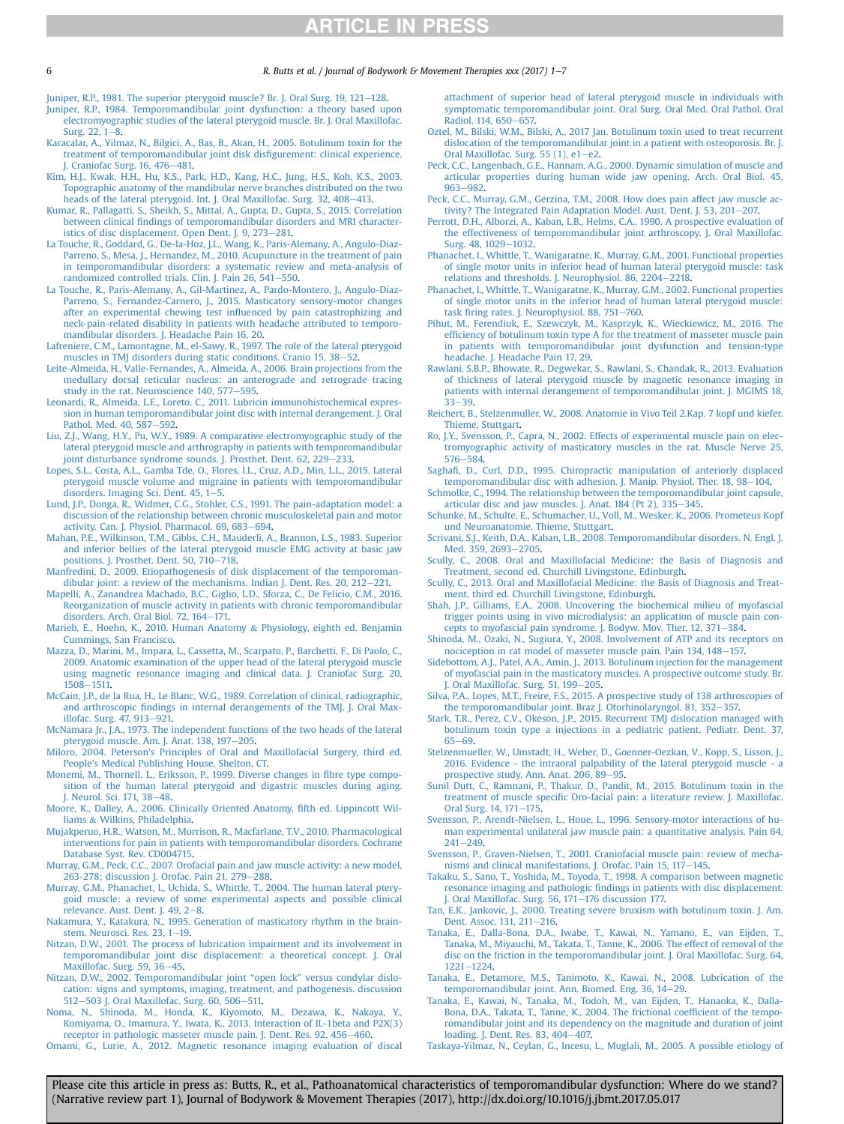<span id="page-5-0"></span>

6 **R. Butts et al. / Journal of Bodywork & Movement Therapies xxx (2017) 1–7** 

[Juniper, R.P., 1981. The superior pterygoid muscle? Br. J. Oral Surg. 19, 121](http://refhub.elsevier.com/S1360-8592(17)30117-1/sref39)-[128.](http://refhub.elsevier.com/S1360-8592(17)30117-1/sref39)

- [Juniper, R.P., 1984. Temporomandibular joint dysfunction: a theory based upon](http://refhub.elsevier.com/S1360-8592(17)30117-1/sref40) [electromyographic studies of the lateral pterygoid muscle. Br. J. Oral Maxillofac.](http://refhub.elsevier.com/S1360-8592(17)30117-1/sref40) Surg.  $22.1 - 8$  $22.1 - 8$ .
- [Karacalar, A., Yilmaz, N., Bilgici, A., Bas, B., Akan, H., 2005. Botulinum toxin for the](http://refhub.elsevier.com/S1360-8592(17)30117-1/sref41) [treatment of temporomandibular joint disk dis](http://refhub.elsevier.com/S1360-8592(17)30117-1/sref41)figurement: clinical experience. I. Craniofac Surg.  $16.476 - 481$ .
- [Kim, H.J., Kwak, H.H., Hu, K.S., Park, H.D., Kang, H.C., Jung, H.S., Koh, K.S., 2003.](http://refhub.elsevier.com/S1360-8592(17)30117-1/sref42) [Topographic anatomy of the mandibular nerve branches distributed on the two](http://refhub.elsevier.com/S1360-8592(17)30117-1/sref42) [heads of the lateral pterygoid. Int. J. Oral Maxillofac. Surg. 32, 408](http://refhub.elsevier.com/S1360-8592(17)30117-1/sref42)-[413](http://refhub.elsevier.com/S1360-8592(17)30117-1/sref42).
- [Kumar, R., Pallagatti, S., Sheikh, S., Mittal, A., Gupta, D., Gupta, S., 2015. Correlation](http://refhub.elsevier.com/S1360-8592(17)30117-1/sref43) between clinical fi[ndings of temporomandibular disorders and MRI character](http://refhub.elsevier.com/S1360-8592(17)30117-1/sref43)[istics of disc displacement. Open Dent. J. 9, 273](http://refhub.elsevier.com/S1360-8592(17)30117-1/sref43)-[281.](http://refhub.elsevier.com/S1360-8592(17)30117-1/sref43)
- [La Touche, R., Goddard, G., De-la-Hoz, J.L., Wang, K., Paris-Alemany, A., Angulo-Diaz-](http://refhub.elsevier.com/S1360-8592(17)30117-1/sref44)[Parreno, S., Mesa, J., Hernandez, M., 2010. Acupuncture in the treatment of pain](http://refhub.elsevier.com/S1360-8592(17)30117-1/sref44) [in temporomandibular disorders: a systematic review and meta-analysis of](http://refhub.elsevier.com/S1360-8592(17)30117-1/sref44) [randomized controlled trials. Clin. J. Pain 26, 541](http://refhub.elsevier.com/S1360-8592(17)30117-1/sref44)-[550](http://refhub.elsevier.com/S1360-8592(17)30117-1/sref44).
- [La Touche, R., Paris-Alemany, A., Gil-Martinez, A., Pardo-Montero, J., Angulo-Diaz-](http://refhub.elsevier.com/S1360-8592(17)30117-1/sref45)[Parreno, S., Fernandez-Carnero, J., 2015. Masticatory sensory-motor changes](http://refhub.elsevier.com/S1360-8592(17)30117-1/sref45) [after an experimental chewing test in](http://refhub.elsevier.com/S1360-8592(17)30117-1/sref45)fluenced by pain catastrophizing and [neck-pain-related disability in patients with headache attributed to temporo](http://refhub.elsevier.com/S1360-8592(17)30117-1/sref45)[mandibular disorders. J. Headache Pain 16, 20](http://refhub.elsevier.com/S1360-8592(17)30117-1/sref45).
- [Lafreniere, C.M., Lamontagne, M., el-Sawy, R., 1997. The role of the lateral pterygoid](http://refhub.elsevier.com/S1360-8592(17)30117-1/sref46) [muscles in TMJ disorders during static conditions. Cranio 15, 38](http://refhub.elsevier.com/S1360-8592(17)30117-1/sref46)-[52.](http://refhub.elsevier.com/S1360-8592(17)30117-1/sref46)
- [Leite-Almeida, H., Valle-Fernandes, A., Almeida, A., 2006. Brain projections from the](http://refhub.elsevier.com/S1360-8592(17)30117-1/sref47) [medullary dorsal reticular nucleus: an anterograde and retrograde tracing](http://refhub.elsevier.com/S1360-8592(17)30117-1/sref47) [study in the rat. Neuroscience 140, 577](http://refhub.elsevier.com/S1360-8592(17)30117-1/sref47)-[595.](http://refhub.elsevier.com/S1360-8592(17)30117-1/sref47)
- [Leonardi, R., Almeida, L.E., Loreto, C., 2011. Lubricin immunohistochemical expres](http://refhub.elsevier.com/S1360-8592(17)30117-1/sref48)[sion in human temporomandibular joint disc with internal derangement. J. Oral](http://refhub.elsevier.com/S1360-8592(17)30117-1/sref48) [Pathol. Med. 40, 587](http://refhub.elsevier.com/S1360-8592(17)30117-1/sref48)-[592.](http://refhub.elsevier.com/S1360-8592(17)30117-1/sref48)
- [Liu, Z.J., Wang, H.Y., Pu, W.Y., 1989. A comparative electromyographic study of the](http://refhub.elsevier.com/S1360-8592(17)30117-1/sref49) [lateral pterygoid muscle and arthrography in patients with temporomandibular](http://refhub.elsevier.com/S1360-8592(17)30117-1/sref49) [joint disturbance syndrome sounds. J. Prosthet. Dent. 62, 229](http://refhub.elsevier.com/S1360-8592(17)30117-1/sref49)-[233](http://refhub.elsevier.com/S1360-8592(17)30117-1/sref49).
- [Lopes, S.L., Costa, A.L., Gamba Tde, O., Flores, I.L., Cruz, A.D., Min, L.L., 2015. Lateral](http://refhub.elsevier.com/S1360-8592(17)30117-1/sref50) [pterygoid muscle volume and migraine in patients with temporomandibular](http://refhub.elsevier.com/S1360-8592(17)30117-1/sref50) [disorders. Imaging Sci. Dent. 45, 1](http://refhub.elsevier.com/S1360-8592(17)30117-1/sref50)-[5.](http://refhub.elsevier.com/S1360-8592(17)30117-1/sref50)
- [Lund, J.P., Donga, R., Widmer, C.G., Stohler, C.S., 1991. The pain-adaptation model: a](http://refhub.elsevier.com/S1360-8592(17)30117-1/sref51) [discussion of the relationship between chronic musculoskeletal pain and motor](http://refhub.elsevier.com/S1360-8592(17)30117-1/sref51) [activity. Can. J. Physiol. Pharmacol. 69, 683](http://refhub.elsevier.com/S1360-8592(17)30117-1/sref51)-[694](http://refhub.elsevier.com/S1360-8592(17)30117-1/sref51).
- [Mahan, P.E., Wilkinson, T.M., Gibbs, C.H., Mauderli, A., Brannon, L.S., 1983. Superior](http://refhub.elsevier.com/S1360-8592(17)30117-1/sref52) [and inferior bellies of the lateral pterygoid muscle EMG activity at basic jaw](http://refhub.elsevier.com/S1360-8592(17)30117-1/sref52) [positions. J. Prosthet. Dent. 50, 710](http://refhub.elsevier.com/S1360-8592(17)30117-1/sref52)-[718.](http://refhub.elsevier.com/S1360-8592(17)30117-1/sref52)
- [Manfredini, D., 2009. Etiopathogenesis of disk displacement of the temporoman](http://refhub.elsevier.com/S1360-8592(17)30117-1/sref53)[dibular joint: a review of the mechanisms. Indian J. Dent. Res. 20, 212](http://refhub.elsevier.com/S1360-8592(17)30117-1/sref53)-[221.](http://refhub.elsevier.com/S1360-8592(17)30117-1/sref53)
- [Mapelli, A., Zanandrea Machado, B.C., Giglio, L.D., Sforza, C., De Felicio, C.M., 2016.](http://refhub.elsevier.com/S1360-8592(17)30117-1/sref54) [Reorganization of muscle activity in patients with chronic temporomandibular](http://refhub.elsevier.com/S1360-8592(17)30117-1/sref54) [disorders. Arch. Oral Biol. 72, 164](http://refhub.elsevier.com/S1360-8592(17)30117-1/sref54)-[171.](http://refhub.elsevier.com/S1360-8592(17)30117-1/sref54)
- [Marieb, E., Hoehn, K., 2010. Human Anatomy](http://refhub.elsevier.com/S1360-8592(17)30117-1/sref55) & [Physiology, eighth ed. Benjamin](http://refhub.elsevier.com/S1360-8592(17)30117-1/sref55) [Cummings, San Francisco.](http://refhub.elsevier.com/S1360-8592(17)30117-1/sref55)
- [Mazza, D., Marini, M., Impara, L., Cassetta, M., Scarpato, P., Barchetti, F., Di Paolo, C.,](http://refhub.elsevier.com/S1360-8592(17)30117-1/sref56) [2009. Anatomic examination of the upper head of the lateral pterygoid muscle](http://refhub.elsevier.com/S1360-8592(17)30117-1/sref56) [using magnetic resonance imaging and clinical data. J. Craniofac Surg. 20,](http://refhub.elsevier.com/S1360-8592(17)30117-1/sref56)  $1508 - 1511.$  $1508 - 1511.$  $1508 - 1511.$
- [McCain, J.P., de la Rua, H., Le Blanc, W.G., 1989. Correlation of clinical, radiographic,](http://refhub.elsevier.com/S1360-8592(17)30117-1/sref57) and arthroscopic fi[ndings in internal derangements of the TMJ. J. Oral Max](http://refhub.elsevier.com/S1360-8592(17)30117-1/sref57)[illofac. Surg. 47, 913](http://refhub.elsevier.com/S1360-8592(17)30117-1/sref57)-[921.](http://refhub.elsevier.com/S1360-8592(17)30117-1/sref57)
- [McNamara Jr., J.A., 1973. The independent functions of the two heads of the lateral](http://refhub.elsevier.com/S1360-8592(17)30117-1/sref58) [pterygoid muscle. Am. J. Anat. 138, 197](http://refhub.elsevier.com/S1360-8592(17)30117-1/sref58)-[205.](http://refhub.elsevier.com/S1360-8592(17)30117-1/sref58)
- [Miloro, 2004. Peterson's Principles of Oral and Maxillofacial Surgery, third ed.](http://refhub.elsevier.com/S1360-8592(17)30117-1/sref59) [People's Medical Publishing House, Shelton, CT.](http://refhub.elsevier.com/S1360-8592(17)30117-1/sref59)
- [Monemi, M., Thornell, L., Eriksson, P., 1999. Diverse changes in](http://refhub.elsevier.com/S1360-8592(17)30117-1/sref60) fibre type compo[sition of the human lateral pterygoid and digastric muscles during aging.](http://refhub.elsevier.com/S1360-8592(17)30117-1/sref60) [J. Neurol. Sci. 171, 38](http://refhub.elsevier.com/S1360-8592(17)30117-1/sref60)-[48](http://refhub.elsevier.com/S1360-8592(17)30117-1/sref60).
- [Moore, K., Dalley, A., 2006. Clinically Oriented Anatomy,](http://refhub.elsevier.com/S1360-8592(17)30117-1/sref61) fifth ed. Lippincott Wil[liams](http://refhub.elsevier.com/S1360-8592(17)30117-1/sref61) & [Wilkins, Philadelphia](http://refhub.elsevier.com/S1360-8592(17)30117-1/sref61).
- [Mujakperuo, H.R., Watson, M., Morrison, R., Macfarlane, T.V., 2010. Pharmacological](http://refhub.elsevier.com/S1360-8592(17)30117-1/sref62) [interventions for pain in patients with temporomandibular disorders. Cochrane](http://refhub.elsevier.com/S1360-8592(17)30117-1/sref62) [Database Syst. Rev. CD004715.](http://refhub.elsevier.com/S1360-8592(17)30117-1/sref62)
- [Murray, G.M., Peck, C.C., 2007. Orofacial pain and jaw muscle activity: a new model,](http://refhub.elsevier.com/S1360-8592(17)30117-1/sref63) [263-278; discussion J. Orofac. Pain 21, 279](http://refhub.elsevier.com/S1360-8592(17)30117-1/sref63)-[288](http://refhub.elsevier.com/S1360-8592(17)30117-1/sref63).
- [Murray, G.M., Phanachet, I., Uchida, S., Whittle, T., 2004. The human lateral ptery](http://refhub.elsevier.com/S1360-8592(17)30117-1/sref64)[goid muscle: a review of some experimental aspects and possible clinical](http://refhub.elsevier.com/S1360-8592(17)30117-1/sref64) [relevance. Aust. Dent. J. 49, 2](http://refhub.elsevier.com/S1360-8592(17)30117-1/sref64)-[8.](http://refhub.elsevier.com/S1360-8592(17)30117-1/sref64)
- [Nakamura, Y., Katakura, N., 1995. Generation of masticatory rhythm in the brain](http://refhub.elsevier.com/S1360-8592(17)30117-1/sref65)[stem. Neurosci. Res. 23, 1](http://refhub.elsevier.com/S1360-8592(17)30117-1/sref65)-[19.](http://refhub.elsevier.com/S1360-8592(17)30117-1/sref65)
- [Nitzan, D.W., 2001. The process of lubrication impairment and its involvement in](http://refhub.elsevier.com/S1360-8592(17)30117-1/sref66) [temporomandibular joint disc displacement: a theoretical concept. J. Oral](http://refhub.elsevier.com/S1360-8592(17)30117-1/sref66) [Maxillofac. Surg. 59, 36](http://refhub.elsevier.com/S1360-8592(17)30117-1/sref66)-[45.](http://refhub.elsevier.com/S1360-8592(17)30117-1/sref66)
- [Nitzan, D.W., 2002. Temporomandibular joint](http://refhub.elsevier.com/S1360-8592(17)30117-1/sref67) "open lock" versus condylar dislo[cation: signs and symptoms, imaging, treatment, and pathogenesis. discussion](http://refhub.elsevier.com/S1360-8592(17)30117-1/sref67) [512](http://refhub.elsevier.com/S1360-8592(17)30117-1/sref67)-[503 J. Oral Maxillofac. Surg. 60, 506](http://refhub.elsevier.com/S1360-8592(17)30117-1/sref67)-[511.](http://refhub.elsevier.com/S1360-8592(17)30117-1/sref67)
- [Noma, N., Shinoda, M., Honda, K., Kiyomoto, M., Dezawa, K., Nakaya, Y.,](http://refhub.elsevier.com/S1360-8592(17)30117-1/sref68) [Komiyama, O., Imamura, Y., Iwata, K., 2013. Interaction of IL-1beta and P2X\(3\)](http://refhub.elsevier.com/S1360-8592(17)30117-1/sref68) [receptor in pathologic masseter muscle pain. J. Dent. Res. 92, 456](http://refhub.elsevier.com/S1360-8592(17)30117-1/sref68)-[460](http://refhub.elsevier.com/S1360-8592(17)30117-1/sref68).
- [Omami, G., Lurie, A., 2012. Magnetic resonance imaging evaluation of discal](http://refhub.elsevier.com/S1360-8592(17)30117-1/sref69)

[attachment of superior head of lateral pterygoid muscle in individuals with](http://refhub.elsevier.com/S1360-8592(17)30117-1/sref69) [symptomatic temporomandibular joint. Oral Surg. Oral Med. Oral Pathol. Oral](http://refhub.elsevier.com/S1360-8592(17)30117-1/sref69) [Radiol. 114, 650](http://refhub.elsevier.com/S1360-8592(17)30117-1/sref69)-[657.](http://refhub.elsevier.com/S1360-8592(17)30117-1/sref69)

- [Oztel, M., Bilski, W.M., Bilski, A., 2017 Jan. Botulinum toxin used to treat recurrent](http://refhub.elsevier.com/S1360-8592(17)30117-1/sref70) [dislocation of the temporomandibular joint in a patient with osteoporosis. Br. J.](http://refhub.elsevier.com/S1360-8592(17)30117-1/sref70) Oral Maxillofac. Surg.  $55$  (1), e1-[e2.](http://refhub.elsevier.com/S1360-8592(17)30117-1/sref70)
- [Peck, C.C., Langenbach, G.E., Hannam, A.G., 2000. Dynamic simulation of muscle and](http://refhub.elsevier.com/S1360-8592(17)30117-1/sref71) [articular properties during human wide jaw opening. Arch. Oral Biol. 45,](http://refhub.elsevier.com/S1360-8592(17)30117-1/sref71) [963](http://refhub.elsevier.com/S1360-8592(17)30117-1/sref71)-982
- [Peck, C.C., Murray, G.M., Gerzina, T.M., 2008. How does pain affect jaw muscle ac-](http://refhub.elsevier.com/S1360-8592(17)30117-1/sref72)tivity? The Integrated Pain Adaptation Model. Aust. Dent. I. 53, 201–[207.](http://refhub.elsevier.com/S1360-8592(17)30117-1/sref72)
- [Perrott, D.H., Alborzi, A., Kaban, L.B., Helms, C.A., 1990. A prospective evaluation of](http://refhub.elsevier.com/S1360-8592(17)30117-1/sref73) [the effectiveness of temporomandibular joint arthroscopy. J. Oral Maxillofac.](http://refhub.elsevier.com/S1360-8592(17)30117-1/sref73) [Surg. 48, 1029](http://refhub.elsevier.com/S1360-8592(17)30117-1/sref73)-[1032](http://refhub.elsevier.com/S1360-8592(17)30117-1/sref73).
- [Phanachet, I., Whittle, T., Wanigaratne, K., Murray, G.M., 2001. Functional properties](http://refhub.elsevier.com/S1360-8592(17)30117-1/sref74) [of single motor units in inferior head of human lateral pterygoid muscle: task](http://refhub.elsevier.com/S1360-8592(17)30117-1/sref74) [relations and thresholds. J. Neurophysiol. 86, 2204](http://refhub.elsevier.com/S1360-8592(17)30117-1/sref74)-[2218](http://refhub.elsevier.com/S1360-8592(17)30117-1/sref74).
- [Phanachet, I., Whittle, T., Wanigaratne, K., Murray, G.M., 2002. Functional properties](http://refhub.elsevier.com/S1360-8592(17)30117-1/sref75) [of single motor units in the inferior head of human lateral pterygoid muscle:](http://refhub.elsevier.com/S1360-8592(17)30117-1/sref75) task fi[ring rates. J. Neurophysiol. 88, 751](http://refhub.elsevier.com/S1360-8592(17)30117-1/sref75)–[760.](http://refhub.elsevier.com/S1360-8592(17)30117-1/sref75)
- [Pihut, M., Ferendiuk, E., Szewczyk, M., Kasprzyk, K., Wieckiewicz, M., 2016. The](http://refhub.elsevier.com/S1360-8592(17)30117-1/sref76) effi[ciency of botulinum toxin type A for the treatment of masseter muscle pain](http://refhub.elsevier.com/S1360-8592(17)30117-1/sref76) [in patients with temporomandibular joint dysfunction and tension-type](http://refhub.elsevier.com/S1360-8592(17)30117-1/sref76) [headache. J. Headache Pain 17, 29.](http://refhub.elsevier.com/S1360-8592(17)30117-1/sref76)
- [Rawlani, S.B.P., Bhowate, R., Degwekar, S., Rawlani, S., Chandak, R., 2013. Evaluation](http://refhub.elsevier.com/S1360-8592(17)30117-1/sref77) [of thickness of lateral pterygoid muscle by magnetic resonance imaging in](http://refhub.elsevier.com/S1360-8592(17)30117-1/sref77) [patients with internal derangement of temporomandibular joint. J. MGIMS 18,](http://refhub.elsevier.com/S1360-8592(17)30117-1/sref77)  $33 - 39.$  $33 - 39.$  $33 - 39.$
- [Reichert, B., Stelzenmuller, W., 2008. Anatomie in Vivo Teil 2.Kap. 7 kopf und kiefer.](http://refhub.elsevier.com/S1360-8592(17)30117-1/sref78) [Thieme, Stuttgart.](http://refhub.elsevier.com/S1360-8592(17)30117-1/sref78)
- [Ro, J.Y., Svensson, P., Capra, N., 2002. Effects of experimental muscle pain on elec](http://refhub.elsevier.com/S1360-8592(17)30117-1/sref79)[tromyographic activity of masticatory muscles in the rat. Muscle Nerve 25,](http://refhub.elsevier.com/S1360-8592(17)30117-1/sref79)  $576 - 584$  $576 - 584$  $576 - 584$
- Saghafi[, D., Curl, D.D., 1995. Chiropractic manipulation of anteriorly displaced](http://refhub.elsevier.com/S1360-8592(17)30117-1/sref80) [temporomandibular disc with adhesion. J. Manip. Physiol. Ther. 18, 98](http://refhub.elsevier.com/S1360-8592(17)30117-1/sref80)-[104.](http://refhub.elsevier.com/S1360-8592(17)30117-1/sref80)
- [Schmolke, C., 1994. The relationship between the temporomandibular joint capsule,](http://refhub.elsevier.com/S1360-8592(17)30117-1/sref81) [articular disc and jaw muscles. J. Anat. 184 \(Pt 2\), 335](http://refhub.elsevier.com/S1360-8592(17)30117-1/sref81)-[345.](http://refhub.elsevier.com/S1360-8592(17)30117-1/sref81)
- [Schunke, M., Schulte, E., Schumacher, U., Voll, M., Wesker, K., 2006. Prometeus Kopf](http://refhub.elsevier.com/S1360-8592(17)30117-1/sref82) [und Neuroanatomie. Thieme, Stuttgart](http://refhub.elsevier.com/S1360-8592(17)30117-1/sref82).
- [Scrivani, S.J., Keith, D.A., Kaban, L.B., 2008. Temporomandibular disorders. N. Engl. J.](http://refhub.elsevier.com/S1360-8592(17)30117-1/sref83) [Med. 359, 2693](http://refhub.elsevier.com/S1360-8592(17)30117-1/sref83)-[2705](http://refhub.elsevier.com/S1360-8592(17)30117-1/sref83).
- [Scully, C., 2008. Oral and Maxillofacial Medicine: the Basis of Diagnosis and](http://refhub.elsevier.com/S1360-8592(17)30117-1/sref84) [Treatment, second ed. Churchill Livingstone, Edinburgh.](http://refhub.elsevier.com/S1360-8592(17)30117-1/sref84)
- [Scully, C., 2013. Oral and Maxillofacial Medicine: the Basis of Diagnosis and Treat](http://refhub.elsevier.com/S1360-8592(17)30117-1/sref85)[ment, third ed. Churchill Livingstone, Edinburgh](http://refhub.elsevier.com/S1360-8592(17)30117-1/sref85).
- [Shah, J.P., Gilliams, E.A., 2008. Uncovering the biochemical milieu of myofascial](http://refhub.elsevier.com/S1360-8592(17)30117-1/sref86) [trigger points using in vivo microdialysis: an application of muscle pain con](http://refhub.elsevier.com/S1360-8592(17)30117-1/sref86)[cepts to myofascial pain syndrome. J. Bodyw. Mov. Ther. 12, 371](http://refhub.elsevier.com/S1360-8592(17)30117-1/sref86)-[384](http://refhub.elsevier.com/S1360-8592(17)30117-1/sref86).
- [Shinoda, M., Ozaki, N., Sugiura, Y., 2008. Involvement of ATP and its receptors on](http://refhub.elsevier.com/S1360-8592(17)30117-1/sref87) [nociception in rat model of masseter muscle pain. Pain 134, 148](http://refhub.elsevier.com/S1360-8592(17)30117-1/sref87)-[157.](http://refhub.elsevier.com/S1360-8592(17)30117-1/sref87)
- [Sidebottom, A.J., Patel, A.A., Amin, J., 2013. Botulinum injection for the management](http://refhub.elsevier.com/S1360-8592(17)30117-1/sref88) [of myofascial pain in the masticatory muscles. A prospective outcome study. Br.](http://refhub.elsevier.com/S1360-8592(17)30117-1/sref88) [J. Oral Maxillofac. Surg. 51, 199](http://refhub.elsevier.com/S1360-8592(17)30117-1/sref88)-[205](http://refhub.elsevier.com/S1360-8592(17)30117-1/sref88).
- [Silva, P.A., Lopes, M.T., Freire, F.S., 2015. A prospective study of 138 arthroscopies of](http://refhub.elsevier.com/S1360-8592(17)30117-1/sref89) [the temporomandibular joint. Braz J. Otorhinolaryngol. 81, 352](http://refhub.elsevier.com/S1360-8592(17)30117-1/sref89)-[357.](http://refhub.elsevier.com/S1360-8592(17)30117-1/sref89)
- [Stark, T.R., Perez, C.V., Okeson, J.P., 2015. Recurrent TMJ dislocation managed with](http://refhub.elsevier.com/S1360-8592(17)30117-1/sref90) [botulinum toxin type a injections in a pediatric patient. Pediatr. Dent. 37,](http://refhub.elsevier.com/S1360-8592(17)30117-1/sref90) [65](http://refhub.elsevier.com/S1360-8592(17)30117-1/sref90)-69
- [Stelzenmueller, W., Umstadt, H., Weber, D., Goenner-Oezkan, V., Kopp, S., Lisson, J.,](http://refhub.elsevier.com/S1360-8592(17)30117-1/sref91) [2016. Evidence - the intraoral palpability of the lateral pterygoid muscle - a](http://refhub.elsevier.com/S1360-8592(17)30117-1/sref91) [prospective study. Ann. Anat. 206, 89](http://refhub.elsevier.com/S1360-8592(17)30117-1/sref91)-[95](http://refhub.elsevier.com/S1360-8592(17)30117-1/sref91)
- [Sunil Dutt, C., Ramnani, P., Thakur, D., Pandit, M., 2015. Botulinum toxin in the](http://refhub.elsevier.com/S1360-8592(17)30117-1/sref92) treatment of muscle specifi[c Oro-facial pain: a literature review. J. Maxillofac.](http://refhub.elsevier.com/S1360-8592(17)30117-1/sref92) [Oral Surg. 14, 171](http://refhub.elsevier.com/S1360-8592(17)30117-1/sref92)-[175.](http://refhub.elsevier.com/S1360-8592(17)30117-1/sref92)
- [Svensson, P., Arendt-Nielsen, L., Houe, L., 1996. Sensory-motor interactions of hu](http://refhub.elsevier.com/S1360-8592(17)30117-1/sref93)[man experimental unilateral jaw muscle pain: a quantitative analysis. Pain 64,](http://refhub.elsevier.com/S1360-8592(17)30117-1/sref93)  $241 - 249$  $241 - 249$ .
- [Svensson, P., Graven-Nielsen, T., 2001. Craniofacial muscle pain: review of mecha](http://refhub.elsevier.com/S1360-8592(17)30117-1/sref94)nisms and clinical manifestations. J. Orofac. Pain  $15$ ,  $117-145$ .
- [Takaku, S., Sano, T., Yoshida, M., Toyoda, T., 1998. A comparison between magnetic](http://refhub.elsevier.com/S1360-8592(17)30117-1/sref95) resonance imaging and pathologic fi[ndings in patients with disc displacement.](http://refhub.elsevier.com/S1360-8592(17)30117-1/sref95) [J. Oral Maxillofac. Surg. 56, 171](http://refhub.elsevier.com/S1360-8592(17)30117-1/sref95)-[176 discussion 177.](http://refhub.elsevier.com/S1360-8592(17)30117-1/sref95)
- [Tan, E.K., Jankovic, J., 2000. Treating severe bruxism with botulinum toxin. J. Am.](http://refhub.elsevier.com/S1360-8592(17)30117-1/sref96) [Dent. Assoc. 131, 211](http://refhub.elsevier.com/S1360-8592(17)30117-1/sref96)-[216.](http://refhub.elsevier.com/S1360-8592(17)30117-1/sref96)
- [Tanaka, E., Dalla-Bona, D.A., Iwabe, T., Kawai, N., Yamano, E., van Eijden, T.,](http://refhub.elsevier.com/S1360-8592(17)30117-1/sref97) [Tanaka, M., Miyauchi, M., Takata, T., Tanne, K., 2006. The effect of removal of the](http://refhub.elsevier.com/S1360-8592(17)30117-1/sref97) [disc on the friction in the temporomandibular joint. J. Oral Maxillofac. Surg. 64,](http://refhub.elsevier.com/S1360-8592(17)30117-1/sref97) [1221](http://refhub.elsevier.com/S1360-8592(17)30117-1/sref97)-[1224.](http://refhub.elsevier.com/S1360-8592(17)30117-1/sref97)
- [Tanaka, E., Detamore, M.S., Tanimoto, K., Kawai, N., 2008. Lubrication of the](http://refhub.elsevier.com/S1360-8592(17)30117-1/sref98) [temporomandibular joint. Ann. Biomed. Eng. 36, 14](http://refhub.elsevier.com/S1360-8592(17)30117-1/sref98)-[29](http://refhub.elsevier.com/S1360-8592(17)30117-1/sref98).
- [Tanaka, E., Kawai, N., Tanaka, M., Todoh, M., van Eijden, T., Hanaoka, K., Dalla-](http://refhub.elsevier.com/S1360-8592(17)30117-1/sref99)[Bona, D.A., Takata, T., Tanne, K., 2004. The frictional coef](http://refhub.elsevier.com/S1360-8592(17)30117-1/sref99)ficient of the tempo[romandibular joint and its dependency on the magnitude and duration of joint](http://refhub.elsevier.com/S1360-8592(17)30117-1/sref99) [loading. J. Dent. Res. 83, 404](http://refhub.elsevier.com/S1360-8592(17)30117-1/sref99)-[407.](http://refhub.elsevier.com/S1360-8592(17)30117-1/sref99)
- [Taskaya-Yilmaz, N., Ceylan, G., Incesu, L., Muglali, M., 2005. A possible etiology of](http://refhub.elsevier.com/S1360-8592(17)30117-1/sref100)